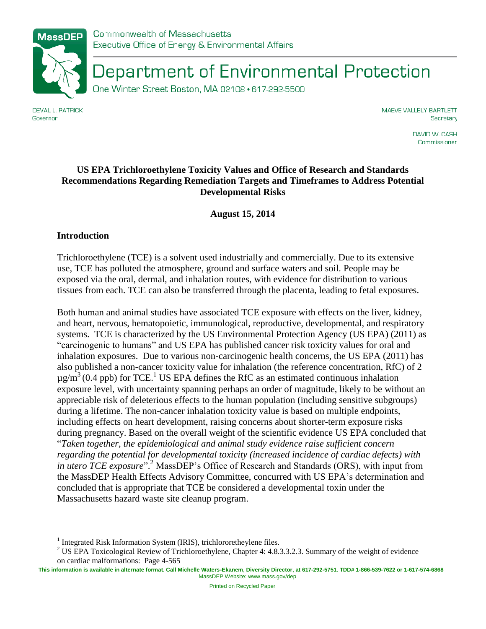

Department of Environmental Protection

One Winter Street Boston, MA 02108 · 617-292-5500

**DEVAL L. PATRICK** Governor

MAEVE VALLELY BARTLETT Secretary

> DAVID W. CASH Commissioner

### **US EPA Trichloroethylene Toxicity Values and Office of Research and Standards Recommendations Regarding Remediation Targets and Timeframes to Address Potential Developmental Risks**

**August 15, 2014**

### **Introduction**

 $\overline{\phantom{a}}$ 

Trichloroethylene (TCE) is a solvent used industrially and commercially. Due to its extensive use, TCE has polluted the atmosphere, ground and surface waters and soil. People may be exposed via the oral, dermal, and inhalation routes, with evidence for distribution to various tissues from each. TCE can also be transferred through the placenta, leading to fetal exposures.

Both human and animal studies have associated TCE exposure with effects on the liver, kidney, and heart, nervous, hematopoietic, immunological, reproductive, developmental, and respiratory systems. TCE is characterized by the US Environmental Protection Agency (US EPA) (2011) as "carcinogenic to humans" and US EPA has published cancer risk toxicity values for oral and inhalation exposures. Due to various non-carcinogenic health concerns, the US EPA (2011) has also published a non-cancer toxicity value for inhalation (the reference concentration, RfC) of 2  $\mu$ g/m<sup>3</sup>(0.4 ppb) for TCE.<sup>1</sup> US EPA defines the RfC as an estimated continuous inhalation exposure level, with uncertainty spanning perhaps an order of magnitude, likely to be without an appreciable risk of deleterious effects to the human population (including sensitive subgroups) during a lifetime. The non-cancer inhalation toxicity value is based on multiple endpoints, including effects on heart development, raising concerns about shorter-term exposure risks during pregnancy. Based on the overall weight of the scientific evidence US EPA concluded that "*Taken together, the epidemiological and animal study evidence raise sufficient concern regarding the potential for developmental toxicity (increased incidence of cardiac defects) with in utero TCE exposure*". <sup>2</sup> MassDEP's Office of Research and Standards (ORS), with input from the MassDEP Health Effects Advisory Committee, concurred with US EPA's determination and concluded that is appropriate that TCE be considered a developmental toxin under the Massachusetts hazard waste site cleanup program.

<sup>&</sup>lt;sup>1</sup> Integrated Risk Information System (IRIS), trichlororetheylene files.

<sup>&</sup>lt;sup>2</sup> US EPA Toxicological Review of Trichloroethylene, Chapter 4: 4.8.3.3.2.3. Summary of the weight of evidence on cardiac malformations: Page 4-565

**This information is available in alternate format. Call Michelle Waters-Ekanem, Diversity Director, at 617-292-5751. TDD# 1-866-539-7622 or 1-617-574-6868** MassDEP Website: www.mass.gov/dep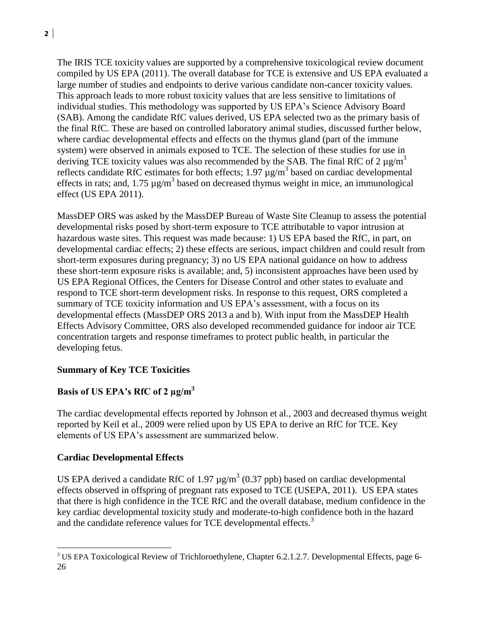The IRIS TCE toxicity values are supported by a comprehensive toxicological review document compiled by US EPA (2011). The overall database for TCE is extensive and US EPA evaluated a large number of studies and endpoints to derive various candidate non-cancer toxicity values. This approach leads to more robust toxicity values that are less sensitive to limitations of individual studies. This methodology was supported by US EPA's Science Advisory Board (SAB). Among the candidate RfC values derived, US EPA selected two as the primary basis of the final RfC. These are based on controlled laboratory animal studies, discussed further below, where cardiac developmental effects and effects on the thymus gland (part of the immune system) were observed in animals exposed to TCE. The selection of these studies for use in deriving TCE toxicity values was also recommended by the SAB. The final RfC of 2  $\mu$ g/m<sup>3</sup> reflects candidate RfC estimates for both effects;  $1.97 \mu g/m^3$  based on cardiac developmental effects in rats; and,  $1.75 \mu g/m^3$  based on decreased thymus weight in mice, an immunological effect (US EPA 2011).

MassDEP ORS was asked by the MassDEP Bureau of Waste Site Cleanup to assess the potential developmental risks posed by short-term exposure to TCE attributable to vapor intrusion at hazardous waste sites. This request was made because: 1) US EPA based the RfC, in part, on developmental cardiac effects; 2) these effects are serious, impact children and could result from short-term exposures during pregnancy; 3) no US EPA national guidance on how to address these short-term exposure risks is available; and, 5) inconsistent approaches have been used by US EPA Regional Offices, the Centers for Disease Control and other states to evaluate and respond to TCE short-term development risks. In response to this request, ORS completed a summary of TCE toxicity information and US EPA's assessment, with a focus on its developmental effects (MassDEP ORS 2013 a and b). With input from the MassDEP Health Effects Advisory Committee, ORS also developed recommended guidance for indoor air TCE concentration targets and response timeframes to protect public health, in particular the developing fetus.

### **Summary of Key TCE Toxicities**

# **Basis of US EPA's RfC of 2 µg/m<sup>3</sup>**

The cardiac developmental effects reported by Johnson et al., 2003 and decreased thymus weight reported by Keil et al., 2009 were relied upon by US EPA to derive an RfC for TCE. Key elements of US EPA's assessment are summarized below.

### **Cardiac Developmental Effects**

 $\overline{\phantom{a}}$ 

US EPA derived a candidate RfC of 1.97  $\mu$ g/m<sup>3</sup> (0.37 ppb) based on cardiac developmental effects observed in offspring of pregnant rats exposed to TCE (USEPA, 2011). US EPA states that there is high confidence in the TCE RfC and the overall database, medium confidence in the key cardiac developmental toxicity study and moderate-to-high confidence both in the hazard and the candidate reference values for TCE developmental effects.<sup>3</sup>

<sup>&</sup>lt;sup>3</sup> US EPA Toxicological Review of Trichloroethylene, Chapter 6.2.1.2.7. Developmental Effects, page 6-26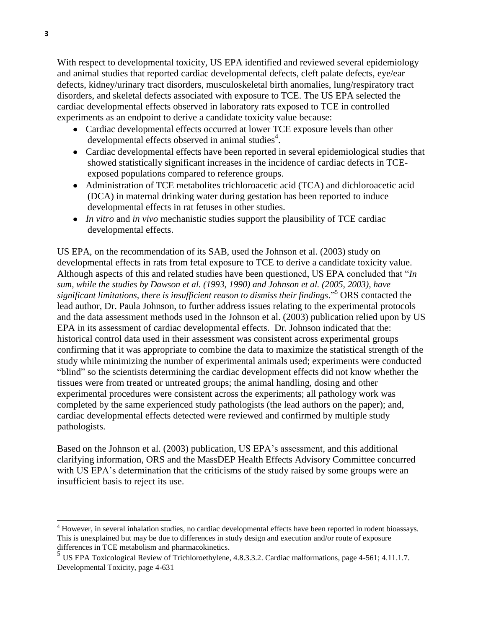With respect to developmental toxicity, US EPA identified and reviewed several epidemiology and animal studies that reported cardiac developmental defects, cleft palate defects, eye/ear defects, kidney/urinary tract disorders, musculoskeletal birth anomalies, lung/respiratory tract disorders, and skeletal defects associated with exposure to TCE. The US EPA selected the cardiac developmental effects observed in laboratory rats exposed to TCE in controlled experiments as an endpoint to derive a candidate toxicity value because:

- Cardiac developmental effects occurred at lower TCE exposure levels than other developmental effects observed in animal studies<sup>4</sup>.
- Cardiac developmental effects have been reported in several epidemiological studies that showed statistically significant increases in the incidence of cardiac defects in TCEexposed populations compared to reference groups.
- Administration of TCE metabolites trichloroacetic acid (TCA) and dichloroacetic acid (DCA) in maternal drinking water during gestation has been reported to induce developmental effects in rat fetuses in other studies.
- *In vitro* and *in vivo* mechanistic studies support the plausibility of TCE cardiac developmental effects.

US EPA, on the recommendation of its SAB, used the Johnson et al. (2003) study on developmental effects in rats from fetal exposure to TCE to derive a candidate toxicity value. Although aspects of this and related studies have been questioned, US EPA concluded that "*In sum, while the studies by Dawson et al. (1993, 1990) and Johnson et al. (2005, 2003), have significant limitations, there is insufficient reason to dismiss their findings*."<sup>5</sup> ORS contacted the lead author, Dr. Paula Johnson, to further address issues relating to the experimental protocols and the data assessment methods used in the Johnson et al. (2003) publication relied upon by US EPA in its assessment of cardiac developmental effects. Dr. Johnson indicated that the: historical control data used in their assessment was consistent across experimental groups confirming that it was appropriate to combine the data to maximize the statistical strength of the study while minimizing the number of experimental animals used; experiments were conducted "blind" so the scientists determining the cardiac development effects did not know whether the tissues were from treated or untreated groups; the animal handling, dosing and other experimental procedures were consistent across the experiments; all pathology work was completed by the same experienced study pathologists (the lead authors on the paper); and, cardiac developmental effects detected were reviewed and confirmed by multiple study pathologists.

Based on the Johnson et al. (2003) publication, US EPA's assessment, and this additional clarifying information, ORS and the MassDEP Health Effects Advisory Committee concurred with US EPA's determination that the criticisms of the study raised by some groups were an insufficient basis to reject its use.

 $\overline{\phantom{a}}$ 

 $4$  However, in several inhalation studies, no cardiac developmental effects have been reported in rodent bioassays. This is unexplained but may be due to differences in study design and execution and/or route of exposure differences in TCE metabolism and pharmacokinetics.

<sup>&</sup>lt;sup>5</sup> US EPA Toxicological Review of Trichloroethylene, 4.8.3.3.2. Cardiac malformations, page 4-561; 4.11.1.7. Developmental Toxicity, page 4-631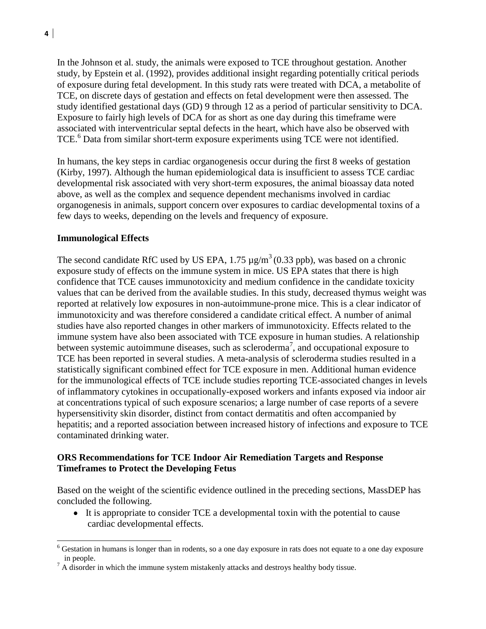In the Johnson et al. study, the animals were exposed to TCE throughout gestation. Another study, by Epstein et al. (1992), provides additional insight regarding potentially critical periods of exposure during fetal development. In this study rats were treated with DCA, a metabolite of TCE, on discrete days of gestation and effects on fetal development were then assessed. The study identified gestational days (GD) 9 through 12 as a period of particular sensitivity to DCA. Exposure to fairly high levels of DCA for as short as one day during this timeframe were associated with interventricular septal defects in the heart, which have also be observed with TCE.<sup>6</sup> Data from similar short-term exposure experiments using TCE were not identified.

In humans, the key steps in cardiac organogenesis occur during the first 8 weeks of gestation (Kirby, 1997). Although the human epidemiological data is insufficient to assess TCE cardiac developmental risk associated with very short-term exposures, the animal bioassay data noted above, as well as the complex and sequence dependent mechanisms involved in cardiac organogenesis in animals, support concern over exposures to cardiac developmental toxins of a few days to weeks, depending on the levels and frequency of exposure.

### **Immunological Effects**

l

The second candidate RfC used by US EPA, 1.75  $\mu$ g/m<sup>3</sup>(0.33 ppb), was based on a chronic exposure study of effects on the immune system in mice. US EPA states that there is high confidence that TCE causes immunotoxicity and medium confidence in the candidate toxicity values that can be derived from the available studies. In this study, decreased thymus weight was reported at relatively low exposures in non-autoimmune-prone mice. This is a clear indicator of immunotoxicity and was therefore considered a candidate critical effect. A number of animal studies have also reported changes in other markers of immunotoxicity. Effects related to the immune system have also been associated with TCE exposure in human studies. A relationship between systemic autoimmune diseases, such as scleroderma<sup>7</sup>, and occupational exposure to TCE has been reported in several studies. A meta-analysis of scleroderma studies resulted in a statistically significant combined effect for TCE exposure in men. Additional human evidence for the immunological effects of TCE include studies reporting TCE-associated changes in levels of inflammatory cytokines in occupationally-exposed workers and infants exposed via indoor air at concentrations typical of such exposure scenarios; a large number of case reports of a severe hypersensitivity skin disorder, distinct from contact dermatitis and often accompanied by hepatitis; and a reported association between increased history of infections and exposure to TCE contaminated drinking water.

### **ORS Recommendations for TCE Indoor Air Remediation Targets and Response Timeframes to Protect the Developing Fetus**

Based on the weight of the scientific evidence outlined in the preceding sections, MassDEP has concluded the following.

It is appropriate to consider TCE a developmental toxin with the potential to cause cardiac developmental effects.

<sup>6</sup> Gestation in humans is longer than in rodents, so a one day exposure in rats does not equate to a one day exposure in people.

 $<sup>7</sup>$  A disorder in which the immune system mistakenly attacks and destroys healthy body tissue.</sup>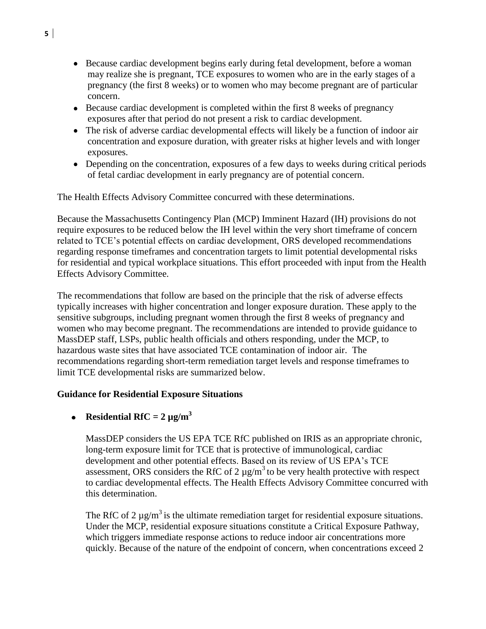- Because cardiac development begins early during fetal development, before a woman may realize she is pregnant, TCE exposures to women who are in the early stages of a pregnancy (the first 8 weeks) or to women who may become pregnant are of particular concern.
- Because cardiac development is completed within the first 8 weeks of pregnancy exposures after that period do not present a risk to cardiac development.
- The risk of adverse cardiac developmental effects will likely be a function of indoor air concentration and exposure duration, with greater risks at higher levels and with longer exposures.
- Depending on the concentration, exposures of a few days to weeks during critical periods of fetal cardiac development in early pregnancy are of potential concern.

The Health Effects Advisory Committee concurred with these determinations.

Because the Massachusetts Contingency Plan (MCP) Imminent Hazard (IH) provisions do not require exposures to be reduced below the IH level within the very short timeframe of concern related to TCE's potential effects on cardiac development, ORS developed recommendations regarding response timeframes and concentration targets to limit potential developmental risks for residential and typical workplace situations. This effort proceeded with input from the Health Effects Advisory Committee.

The recommendations that follow are based on the principle that the risk of adverse effects typically increases with higher concentration and longer exposure duration. These apply to the sensitive subgroups, including pregnant women through the first 8 weeks of pregnancy and women who may become pregnant. The recommendations are intended to provide guidance to MassDEP staff, LSPs, public health officials and others responding, under the MCP, to hazardous waste sites that have associated TCE contamination of indoor air. The recommendations regarding short-term remediation target levels and response timeframes to limit TCE developmental risks are summarized below.

#### **Guidance for Residential Exposure Situations**

#### **•** Residential RfC =  $2 \mu g/m^3$

MassDEP considers the US EPA TCE RfC published on IRIS as an appropriate chronic, long-term exposure limit for TCE that is protective of immunological, cardiac development and other potential effects. Based on its review of US EPA's TCE assessment, ORS considers the RfC of 2  $\mu$ g/m<sup>3</sup> to be very health protective with respect to cardiac developmental effects. The Health Effects Advisory Committee concurred with this determination.

The RfC of 2  $\mu$ g/m<sup>3</sup> is the ultimate remediation target for residential exposure situations. Under the MCP, residential exposure situations constitute a Critical Exposure Pathway, which triggers immediate response actions to reduce indoor air concentrations more quickly. Because of the nature of the endpoint of concern, when concentrations exceed 2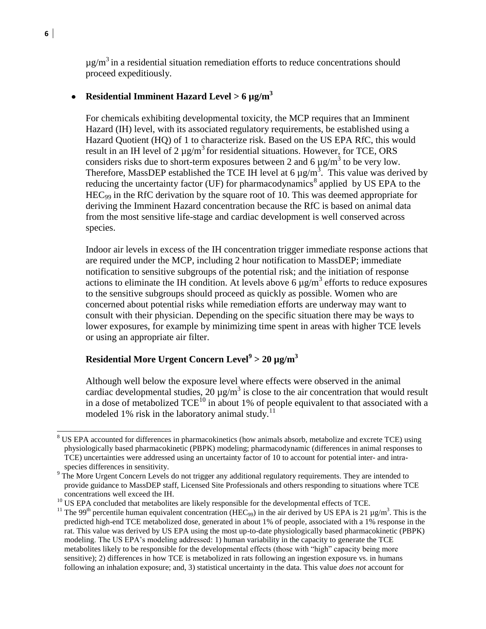$\mu$ g/m<sup>3</sup> in a residential situation remediation efforts to reduce concentrations should proceed expeditiously.

### **Residential Imminent Hazard Level > 6 µg/m<sup>3</sup>**

For chemicals exhibiting developmental toxicity, the MCP requires that an Imminent Hazard (IH) level, with its associated regulatory requirements, be established using a Hazard Quotient (HQ) of 1 to characterize risk. Based on the US EPA RfC, this would result in an IH level of 2  $\mu$ g/m<sup>3</sup> for residential situations. However, for TCE, ORS considers risks due to short-term exposures between 2 and 6  $\mu$ g/m<sup>3</sup> to be very low. Therefore, MassDEP established the TCE IH level at 6  $\mu$ g/m<sup>3</sup>. This value was derived by reducing the uncertainty factor (UF) for pharmacodynamics<sup>8</sup> applied by US EPA to the HEC<sup>99</sup> in the RfC derivation by the square root of 10. This was deemed appropriate for deriving the Imminent Hazard concentration because the RfC is based on animal data from the most sensitive life-stage and cardiac development is well conserved across species.

Indoor air levels in excess of the IH concentration trigger immediate response actions that are required under the MCP, including 2 hour notification to MassDEP; immediate notification to sensitive subgroups of the potential risk; and the initiation of response actions to eliminate the IH condition. At levels above 6  $\mu$ g/m<sup>3</sup> efforts to reduce exposures to the sensitive subgroups should proceed as quickly as possible. Women who are concerned about potential risks while remediation efforts are underway may want to consult with their physician. Depending on the specific situation there may be ways to lower exposures, for example by minimizing time spent in areas with higher TCE levels or using an appropriate air filter.

## **Residential More Urgent Concern Level<sup>9</sup> > 20 µg/m<sup>3</sup>**

Although well below the exposure level where effects were observed in the animal cardiac developmental studies, 20  $\mu$ g/m<sup>3</sup> is close to the air concentration that would result in a dose of metabolized  $TCE^{10}$  in about 1% of people equivalent to that associated with a modeled 1% risk in the laboratory animal study.<sup>11</sup>

l

<sup>&</sup>lt;sup>8</sup> US EPA accounted for differences in pharmacokinetics (how animals absorb, metabolize and excrete TCE) using physiologically based pharmacokinetic (PBPK) modeling; pharmacodynamic (differences in animal responses to TCE) uncertainties were addressed using an uncertainty factor of 10 to account for potential inter- and intraspecies differences in sensitivity.

<sup>&</sup>lt;sup>9</sup> The More Urgent Concern Levels do not trigger any additional regulatory requirements. They are intended to provide guidance to MassDEP staff, Licensed Site Professionals and others responding to situations where TCE concentrations well exceed the IH.

<sup>&</sup>lt;sup>10</sup> US EPA concluded that metabolites are likely responsible for the developmental effects of TCE.

<sup>&</sup>lt;sup>11</sup> The 99<sup>th</sup> percentile human equivalent concentration (HEC<sub>99</sub>) in the air derived by US EPA is 21 µg/m<sup>3</sup>. This is the predicted high-end TCE metabolized dose, generated in about 1% of people, associated with a 1% response in the rat. This value was derived by US EPA using the most up-to-date physiologically based pharmacokinetic (PBPK) modeling. The US EPA's modeling addressed: 1) human variability in the capacity to generate the TCE metabolites likely to be responsible for the developmental effects (those with "high" capacity being more sensitive); 2) differences in how TCE is metabolized in rats following an ingestion exposure vs. in humans following an inhalation exposure; and, 3) statistical uncertainty in the data. This value *does not* account for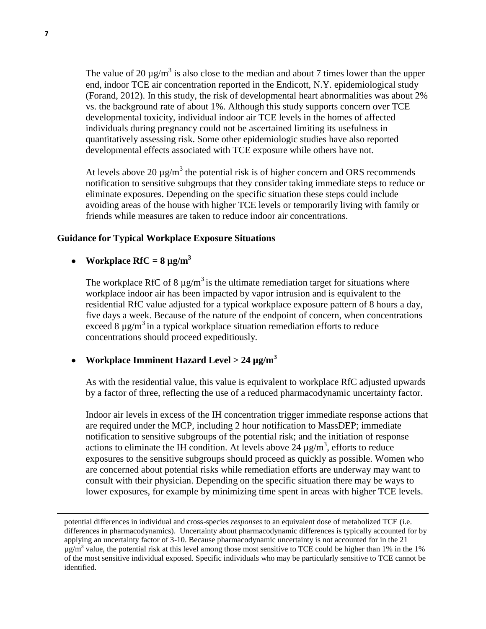The value of 20  $\mu$ g/m<sup>3</sup> is also close to the median and about 7 times lower than the upper end, indoor TCE air concentration reported in the Endicott, N.Y. epidemiological study (Forand, 2012). In this study, the risk of developmental heart abnormalities was about 2% vs. the background rate of about 1%. Although this study supports concern over TCE developmental toxicity, individual indoor air TCE levels in the homes of affected individuals during pregnancy could not be ascertained limiting its usefulness in quantitatively assessing risk. Some other epidemiologic studies have also reported developmental effects associated with TCE exposure while others have not.

At levels above 20  $\mu$ g/m<sup>3</sup> the potential risk is of higher concern and ORS recommends notification to sensitive subgroups that they consider taking immediate steps to reduce or eliminate exposures. Depending on the specific situation these steps could include avoiding areas of the house with higher TCE levels or temporarily living with family or friends while measures are taken to reduce indoor air concentrations.

#### **Guidance for Typical Workplace Exposure Situations**

• Workplace  $RfC = 8 \mu g/m^3$ 

The workplace RfC of 8  $\mu$ g/m<sup>3</sup> is the ultimate remediation target for situations where workplace indoor air has been impacted by vapor intrusion and is equivalent to the residential RfC value adjusted for a typical workplace exposure pattern of 8 hours a day, five days a week. Because of the nature of the endpoint of concern, when concentrations exceed 8  $\mu$ g/m<sup>3</sup> in a typical workplace situation remediation efforts to reduce concentrations should proceed expeditiously.

### **Workplace Imminent Hazard Level > 24 µg/m<sup>3</sup>**

As with the residential value, this value is equivalent to workplace RfC adjusted upwards by a factor of three, reflecting the use of a reduced pharmacodynamic uncertainty factor.

Indoor air levels in excess of the IH concentration trigger immediate response actions that are required under the MCP, including 2 hour notification to MassDEP; immediate notification to sensitive subgroups of the potential risk; and the initiation of response actions to eliminate the IH condition. At levels above 24  $\mu$ g/m<sup>3</sup>, efforts to reduce exposures to the sensitive subgroups should proceed as quickly as possible. Women who are concerned about potential risks while remediation efforts are underway may want to consult with their physician. Depending on the specific situation there may be ways to lower exposures, for example by minimizing time spent in areas with higher TCE levels.

 $\overline{a}$ 

potential differences in individual and cross-species *responses* to an equivalent dose of metabolized TCE (i.e. differences in pharmacodynamics). Uncertainty about pharmacodynamic differences is typically accounted for by applying an uncertainty factor of 3-10. Because pharmacodynamic uncertainty is not accounted for in the 21  $\mu$ g/m<sup>3</sup> value, the potential risk at this level among those most sensitive to TCE could be higher than 1% in the 1% of the most sensitive individual exposed. Specific individuals who may be particularly sensitive to TCE cannot be identified.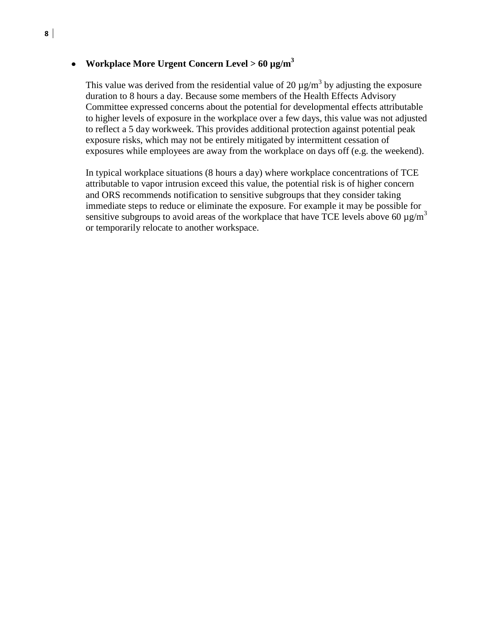## **Workplace More Urgent Concern Level > 60 µg/m<sup>3</sup>**

This value was derived from the residential value of 20  $\mu$ g/m<sup>3</sup> by adjusting the exposure duration to 8 hours a day. Because some members of the Health Effects Advisory Committee expressed concerns about the potential for developmental effects attributable to higher levels of exposure in the workplace over a few days, this value was not adjusted to reflect a 5 day workweek. This provides additional protection against potential peak exposure risks, which may not be entirely mitigated by intermittent cessation of exposures while employees are away from the workplace on days off (e.g. the weekend).

In typical workplace situations (8 hours a day) where workplace concentrations of TCE attributable to vapor intrusion exceed this value, the potential risk is of higher concern and ORS recommends notification to sensitive subgroups that they consider taking immediate steps to reduce or eliminate the exposure. For example it may be possible for sensitive subgroups to avoid areas of the workplace that have TCE levels above 60  $\mu$ g/m<sup>3</sup> or temporarily relocate to another workspace.